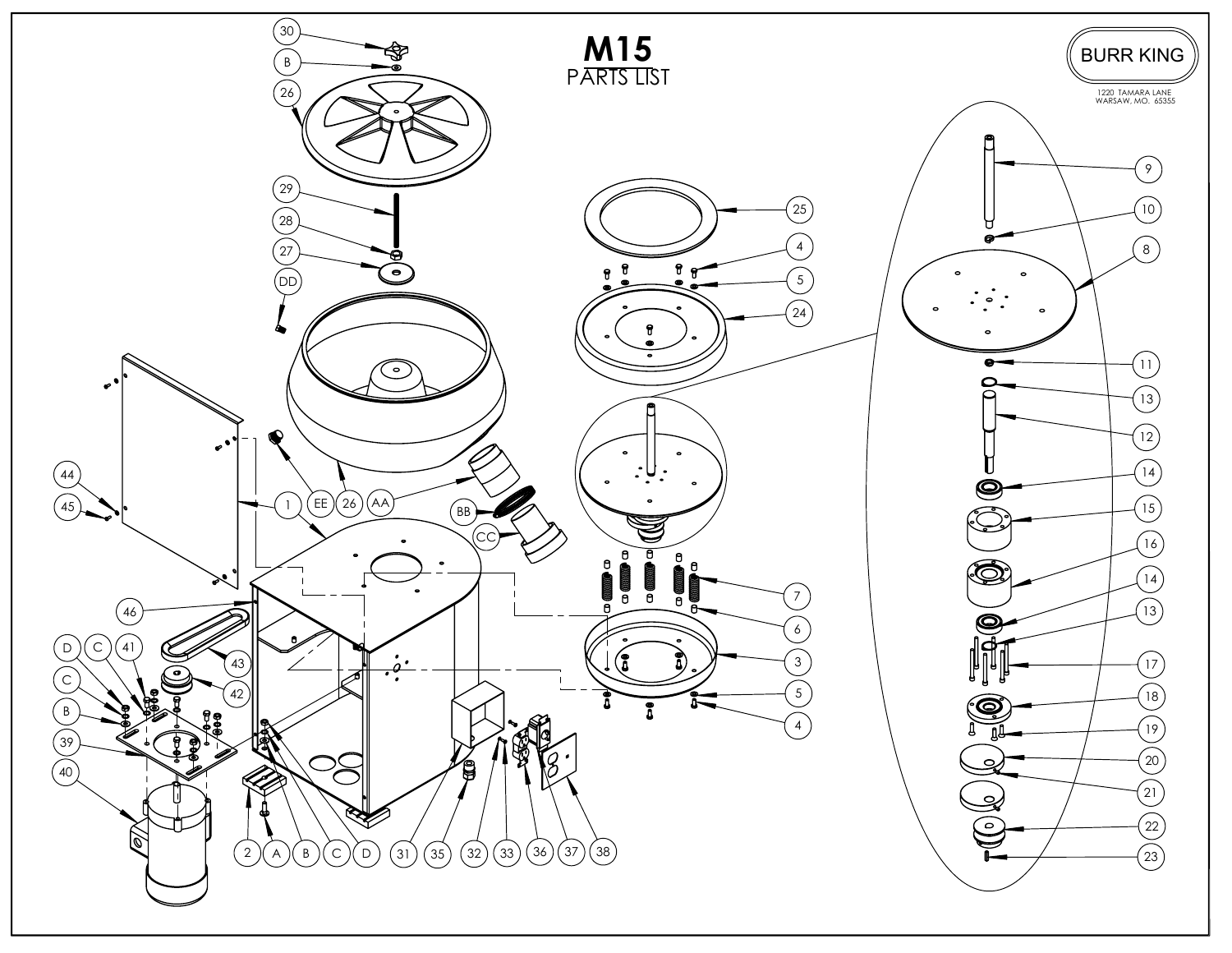